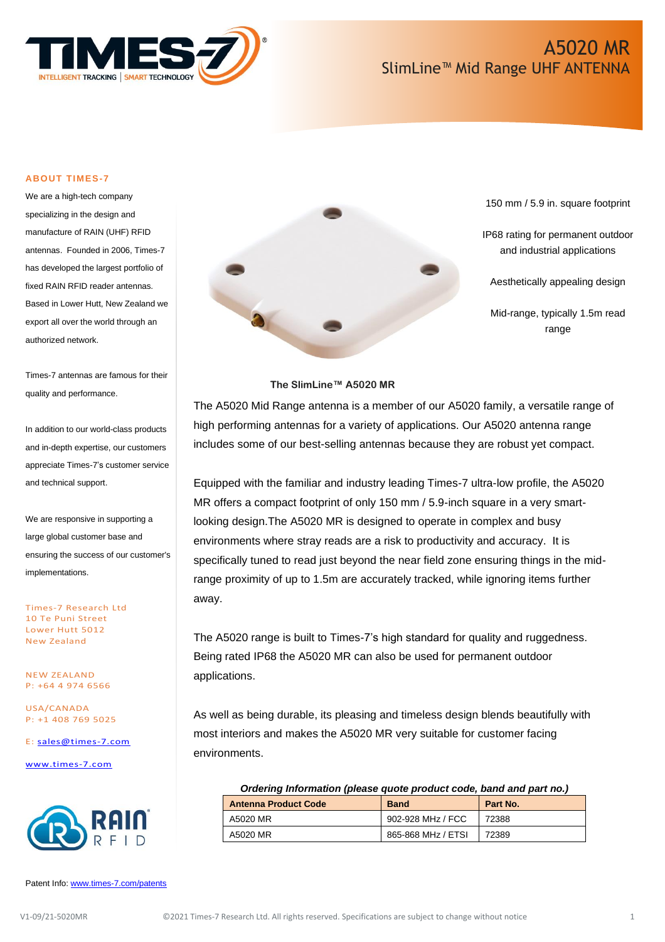

#### **ABOUT TIMES-7**

We are a high-tech company specializing in the design and manufacture of RAIN (UHF) RFID antennas. Founded in 2006, Times-7 has developed the largest portfolio of fixed RAIN RFID reader antennas. Based in Lower Hutt, New Zealand we export all over the world through an authorized network.

Times-7 antennas are famous for their quality and performance.

In addition to our world-class products and in-depth expertise, our customers appreciate Times-7's customer service and technical support.

We are responsive in supporting a large global customer base and ensuring the success of our customer's implementations.

Times-7 Research Ltd 10 Te Puni Street Lower Hutt 5012 New Zealand

NEW ZEALAND P: +64 4 974 6566

USA/CANADA P: +1 408 769 5025

E: [sales@times-7.com](mailto:sales@times-7.com)

[www.times-7.com](http://www.times-7.com/)



Patent Info[: www.times-7.com/patents](http://www.times-7.com/patents)



150 mm / 5.9 in. square footprint

IP68 rating for permanent outdoor and industrial applications

Aesthetically appealing design

Mid-range, typically 1.5m read range

#### **The SlimLine™ A5020 MR**

The A5020 Mid Range antenna is a member of our A5020 family, a versatile range of high performing antennas for a variety of applications. Our A5020 antenna range includes some of our best-selling antennas because they are robust yet compact.

Equipped with the familiar and industry leading Times-7 ultra-low profile, the A5020 MR offers a compact footprint of only 150 mm / 5.9-inch square in a very smartlooking design.The A5020 MR is designed to operate in complex and busy environments where stray reads are a risk to productivity and accuracy. It is specifically tuned to read just beyond the near field zone ensuring things in the midrange proximity of up to 1.5m are accurately tracked, while ignoring items further away.

The A5020 range is built to Times-7's high standard for quality and ruggedness. Being rated IP68 the A5020 MR can also be used for permanent outdoor applications.

As well as being durable, its pleasing and timeless design blends beautifully with most interiors and makes the A5020 MR very suitable for customer facing environments.

#### *Ordering Information (please quote product code, band and part no.)*

| <b>Antenna Product Code</b> | <b>Band</b>        | Part No. |
|-----------------------------|--------------------|----------|
| A5020 MR                    | 902-928 MHz / FCC  | 72388    |
| A5020 MR                    | 865-868 MHz / ETSI | 72389    |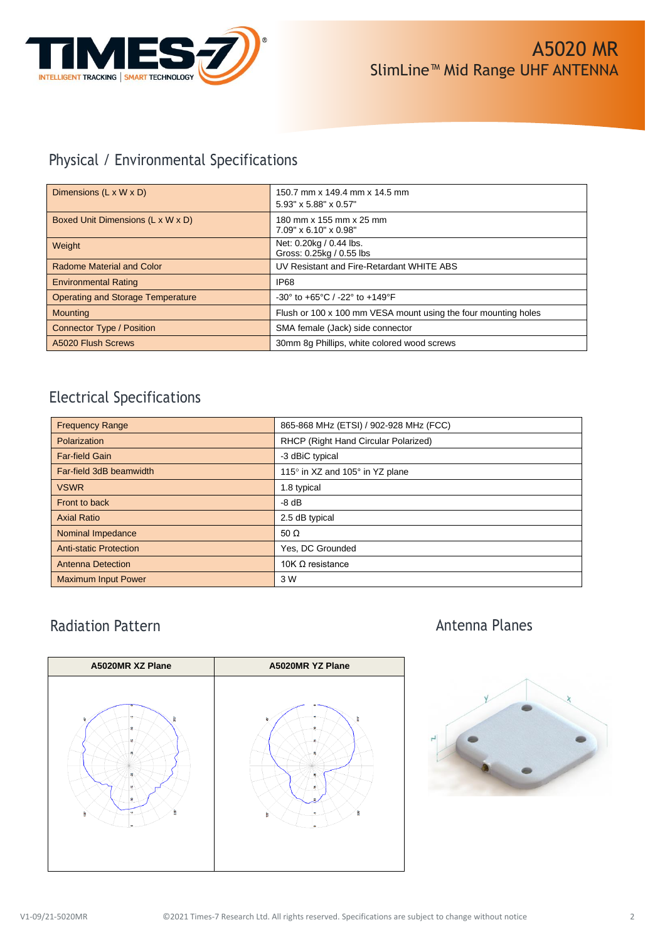

## Physical / Environmental Specifications

| Dimensions $(L \times W \times D)$       | 150.7 mm x 149.4 mm x 14.5 mm<br>5.93" x 5.88" x 0.57"               |
|------------------------------------------|----------------------------------------------------------------------|
| Boxed Unit Dimensions (L x W x D)        | 180 mm x 155 mm x 25 mm<br>$7.09" \times 6.10" \times 0.98"$         |
| Weight                                   | Net: 0.20kg / 0.44 lbs.<br>Gross: 0.25kg / 0.55 lbs                  |
| <b>Radome Material and Color</b>         | UV Resistant and Fire-Retardant WHITE ABS                            |
| <b>Environmental Rating</b>              | IP <sub>68</sub>                                                     |
| <b>Operating and Storage Temperature</b> | $-30^{\circ}$ to $+65^{\circ}$ C / $-22^{\circ}$ to $+149^{\circ}$ F |
| <b>Mounting</b>                          | Flush or 100 x 100 mm VESA mount using the four mounting holes       |
| <b>Connector Type / Position</b>         | SMA female (Jack) side connector                                     |
| <b>A5020 Flush Screws</b>                | 30mm 8g Phillips, white colored wood screws                          |

### Electrical Specifications

| <b>Frequency Range</b>        | 865-868 MHz (ETSI) / 902-928 MHz (FCC) |
|-------------------------------|----------------------------------------|
| Polarization                  | RHCP (Right Hand Circular Polarized)   |
| Far-field Gain                | -3 dBiC typical                        |
| Far-field 3dB beamwidth       | 115° in XZ and 105° in YZ plane        |
| <b>VSWR</b>                   | 1.8 typical                            |
| Front to back                 | $-8$ dB                                |
| <b>Axial Ratio</b>            | 2.5 dB typical                         |
| Nominal Impedance             | 50 $\Omega$                            |
| <b>Anti-static Protection</b> | Yes, DC Grounded                       |
| <b>Antenna Detection</b>      | 10K Ω resistance                       |
| <b>Maximum Input Power</b>    | 3 W                                    |

### Radiation Pattern



### Antenna Planes

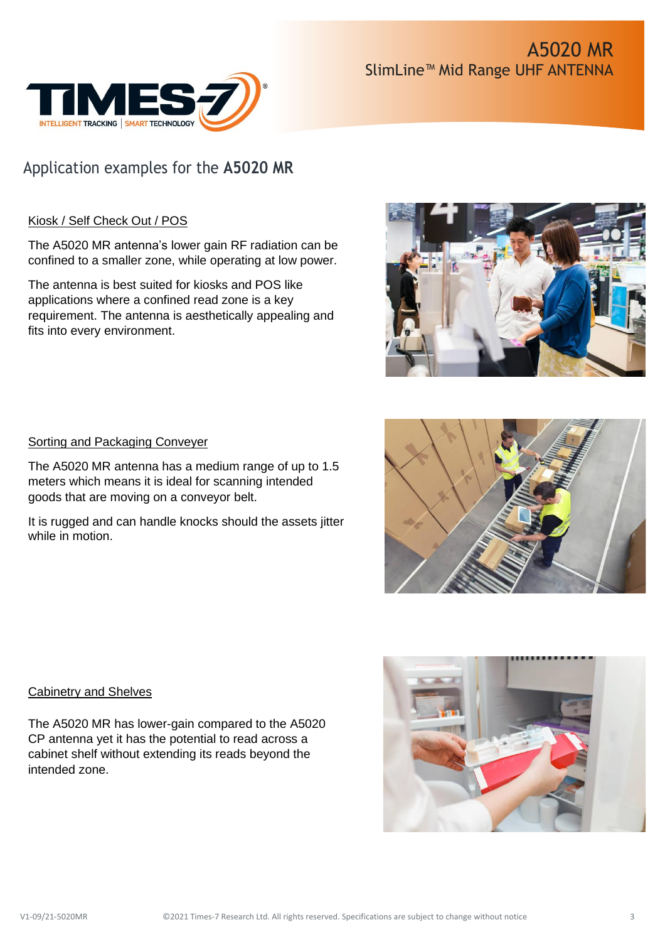

# Application examples for the **A5020 MR**

### Kiosk / Self Check Out / POS

The A5020 MR antenna's lower gain RF radiation can be confined to a smaller zone, while operating at low power.

The antenna is best suited for kiosks and POS like applications where a confined read zone is a key requirement. The antenna is aesthetically appealing and fits into every environment.



### Sorting and Packaging Conveyer

The A5020 MR antenna has a medium range of up to 1.5 meters which means it is ideal for scanning intended goods that are moving on a conveyor belt.

It is rugged and can handle knocks should the assets jitter while in motion.



### Cabinetry and Shelves

The A5020 MR has lower-gain compared to the A5020 CP antenna yet it has the potential to read across a cabinet shelf without extending its reads beyond the intended zone.

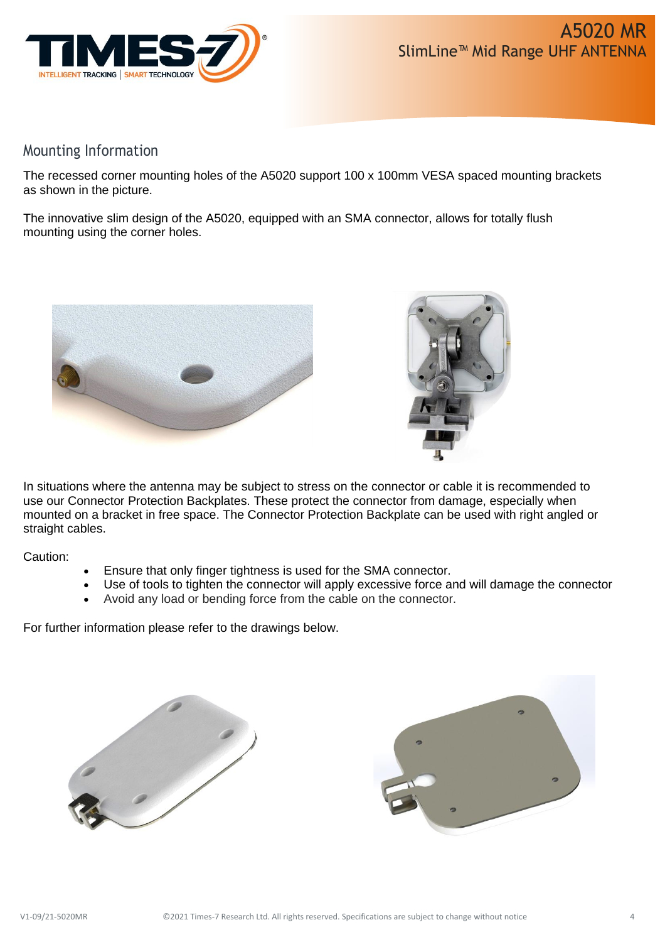

#### Mounting Information

The recessed corner mounting holes of the A5020 support 100 x 100mm VESA spaced mounting brackets as shown in the picture.

The innovative slim design of the A5020, equipped with an SMA connector, allows for totally flush mounting using the corner holes.





In situations where the antenna may be subject to stress on the connector or cable it is recommended to use our Connector Protection Backplates. These protect the connector from damage, especially when mounted on a bracket in free space. The Connector Protection Backplate can be used with right angled or straight cables.

Caution:

- Ensure that only finger tightness is used for the SMA connector.
- Use of tools to tighten the connector will apply excessive force and will damage the connector
- Avoid any load or bending force from the cable on the connector.

For further information please refer to the drawings below.



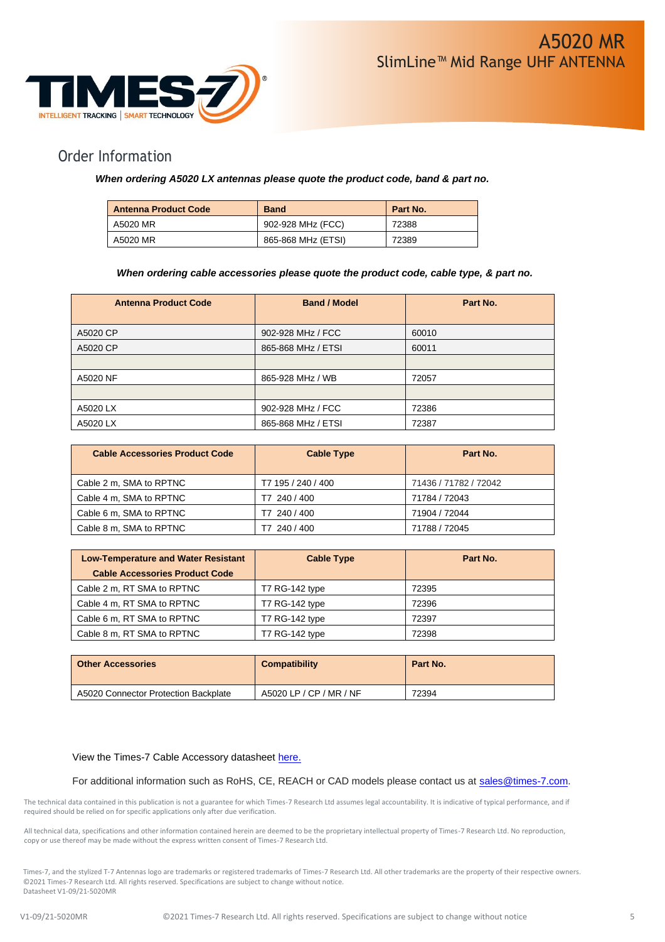

#### Order Information

#### *When ordering A5020 LX antennas please quote the product code, band & part no.*

| <b>Antenna Product Code</b> | <b>Band</b>        | Part No. |
|-----------------------------|--------------------|----------|
| A5020 MR                    | 902-928 MHz (FCC)  | 72388    |
| A5020 MR                    | 865-868 MHz (ETSI) | 72389    |

#### *When ordering cable accessories please quote the product code, cable type, & part no.*

| <b>Antenna Product Code</b> | <b>Band / Model</b> | Part No. |
|-----------------------------|---------------------|----------|
| A5020 CP                    | 902-928 MHz / FCC   | 60010    |
| A5020 CP                    | 865-868 MHz / ETSI  | 60011    |
|                             |                     |          |
| A5020 NF                    | 865-928 MHz / WB    | 72057    |
|                             |                     |          |
| A5020 LX                    | 902-928 MHz / FCC   | 72386    |
| A5020 LX                    | 865-868 MHz / ETSI  | 72387    |

| <b>Cable Accessories Product Code</b> | <b>Cable Type</b>  | Part No.              |
|---------------------------------------|--------------------|-----------------------|
| Cable 2 m, SMA to RPTNC               | T7 195 / 240 / 400 | 71436 / 71782 / 72042 |
| Cable 4 m, SMA to RPTNC               | T7 240 / 400       | 71784 / 72043         |
| Cable 6 m, SMA to RPTNC               | T7 240 / 400       | 71904 / 72044         |
| Cable 8 m, SMA to RPTNC               | 240 / 400          | 71788 / 72045         |

| <b>Low-Temperature and Water Resistant</b> | <b>Cable Type</b> | Part No. |
|--------------------------------------------|-------------------|----------|
| <b>Cable Accessories Product Code</b>      |                   |          |
| Cable 2 m, RT SMA to RPTNC                 | T7 RG-142 type    | 72395    |
| Cable 4 m, RT SMA to RPTNC                 | T7 RG-142 type    | 72396    |
| Cable 6 m, RT SMA to RPTNC                 | T7 RG-142 type    | 72397    |
| Cable 8 m, RT SMA to RPTNC                 | T7 RG-142 type    | 72398    |

| <b>Other Accessories</b>             | <b>Compatibility</b>    | Part No. |
|--------------------------------------|-------------------------|----------|
| A5020 Connector Protection Backplate | A5020 LP / CP / MR / NF | 72394    |

#### View the Times-7 Cable Accessory datasheet [here.](https://www.times-7.com/Cable%20Datasheet_v1.1_A4.pdf)

For additional information such as RoHS, CE, REACH or CAD models please contact us at [sales@times-7.com.](mailto:sales@times-7.com)

The technical data contained in this publication is not a guarantee for which Times-7 Research Ltd assumes legal accountability. It is indicative of typical performance, and if required should be relied on for specific applications only after due verification.

All technical data, specifications and other information contained herein are deemed to be the proprietary intellectual property of Times-7 Research Ltd. No reproduction, copy or use thereof may be made without the express written consent of Times-7 Research Ltd.

Times-7, and the stylized T-7 Antennas logo are trademarks or registered trademarks of Times-7 Research Ltd. All other trademarks are the property of their respective owners. ©2021 Times-7 Research Ltd. All rights reserved. Specifications are subject to change without notice. Datasheet V1-09/21-5020MR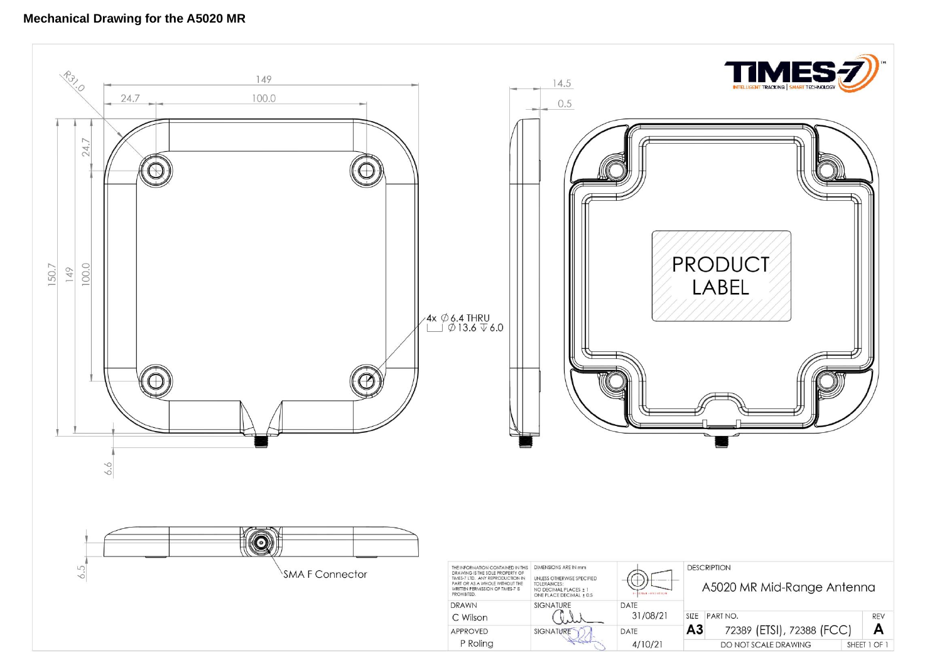